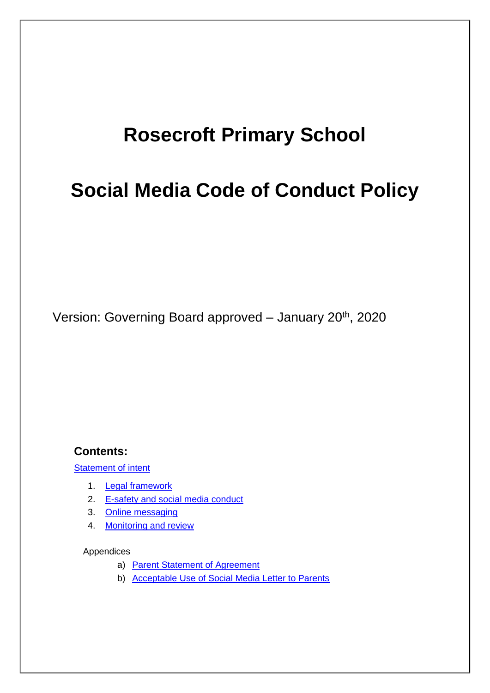# **Rosecroft Primary School**

# **Social Media Code of Conduct Policy**

Version: Governing Board approved - January 20<sup>th</sup>, 2020

#### **Contents:**

Statement of intent

- 1. Legal framework
- 2. E-safety and social media conduct
- 3. Online messaging
- 4. Monitoring and review

#### Appendices

- a) Parent Statement of Agreement
- b) Acceptable Use of Social Media Letter to Parents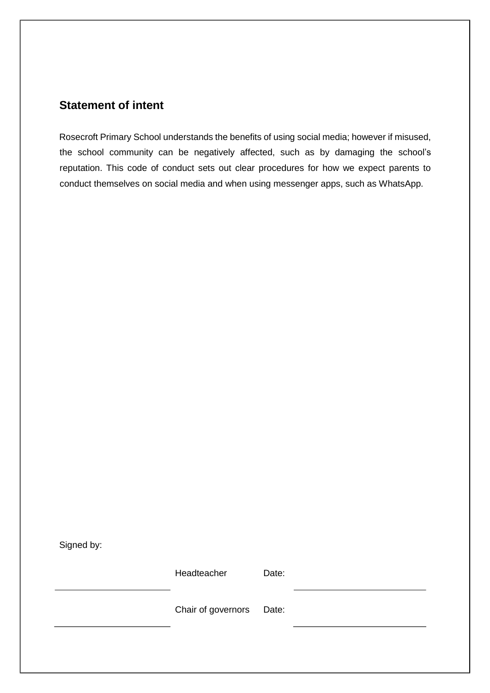## **Statement of intent**

Rosecroft Primary School understands the benefits of using social media; however if misused, the school community can be negatively affected, such as by damaging the school's reputation. This code of conduct sets out clear procedures for how we expect parents to conduct themselves on social media and when using messenger apps, such as WhatsApp.

Signed by:

Headteacher Date:

Chair of governors Date: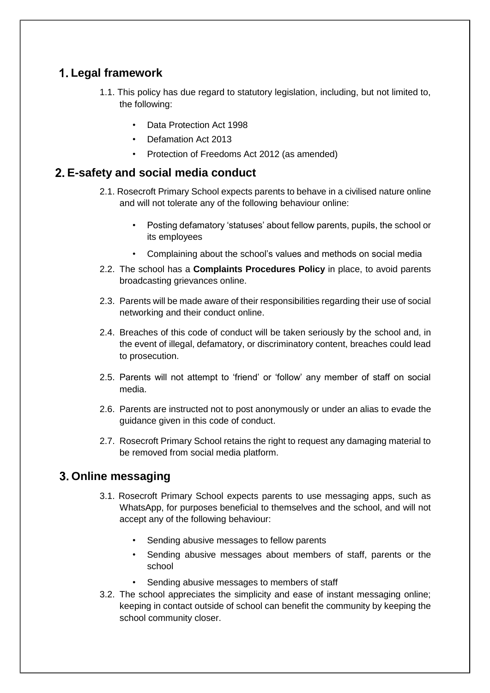# **Legal framework**

- 1.1. This policy has due regard to statutory legislation, including, but not limited to, the following:
	- Data Protection Act 1998
	- Defamation Act 2013
	- Protection of Freedoms Act 2012 (as amended)

### **E-safety and social media conduct**

- 2.1. Rosecroft Primary School expects parents to behave in a civilised nature online and will not tolerate any of the following behaviour online:
	- Posting defamatory 'statuses' about fellow parents, pupils, the school or its employees
	- Complaining about the school's values and methods on social media
- 2.2. The school has a **Complaints Procedures Policy** in place, to avoid parents broadcasting grievances online.
- 2.3. Parents will be made aware of their responsibilities regarding their use of social networking and their conduct online.
- 2.4. Breaches of this code of conduct will be taken seriously by the school and, in the event of illegal, defamatory, or discriminatory content, breaches could lead to prosecution.
- 2.5. Parents will not attempt to 'friend' or 'follow' any member of staff on social media.
- 2.6. Parents are instructed not to post anonymously or under an alias to evade the guidance given in this code of conduct.
- 2.7. Rosecroft Primary School retains the right to request any damaging material to be removed from social media platform.

## **Online messaging**

- 3.1. Rosecroft Primary School expects parents to use messaging apps, such as WhatsApp, for purposes beneficial to themselves and the school, and will not accept any of the following behaviour:
	- Sending abusive messages to fellow parents
	- Sending abusive messages about members of staff, parents or the school
	- Sending abusive messages to members of staff
- 3.2. The school appreciates the simplicity and ease of instant messaging online; keeping in contact outside of school can benefit the community by keeping the school community closer.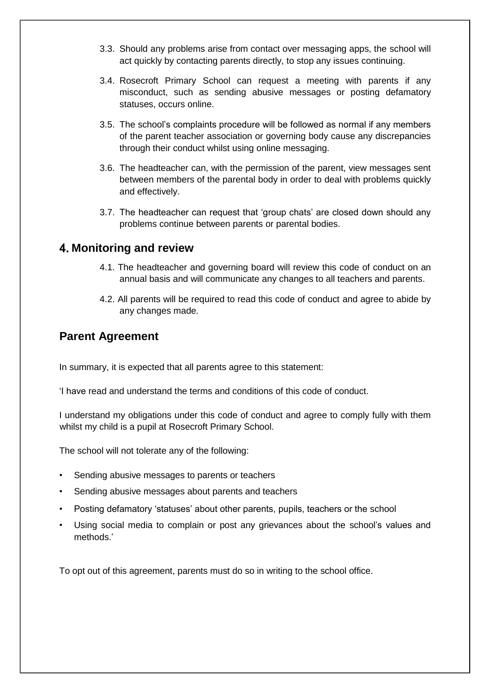- 3.3. Should any problems arise from contact over messaging apps, the school will act quickly by contacting parents directly, to stop any issues continuing.
- 3.4. Rosecroft Primary School can request a meeting with parents if any misconduct, such as sending abusive messages or posting defamatory statuses, occurs online.
- 3.5. The school's complaints procedure will be followed as normal if any members of the parent teacher association or governing body cause any discrepancies through their conduct whilst using online messaging.
- 3.6. The headteacher can, with the permission of the parent, view messages sent between members of the parental body in order to deal with problems quickly and effectively.
- 3.7. The headteacher can request that 'group chats' are closed down should any problems continue between parents or parental bodies.

#### **Monitoring and review**

- 4.1. The headteacher and governing board will review this code of conduct on an annual basis and will communicate any changes to all teachers and parents.
- 4.2. All parents will be required to read this code of conduct and agree to abide by any changes made.

### **Parent Agreement**

In summary, it is expected that all parents agree to this statement:

'I have read and understand the terms and conditions of this code of conduct.

I understand my obligations under this code of conduct and agree to comply fully with them whilst my child is a pupil at Rosecroft Primary School.

The school will not tolerate any of the following:

- Sending abusive messages to parents or teachers
- Sending abusive messages about parents and teachers
- Posting defamatory 'statuses' about other parents, pupils, teachers or the school
- Using social media to complain or post any grievances about the school's values and methods.'

To opt out of this agreement, parents must do so in writing to the school office.